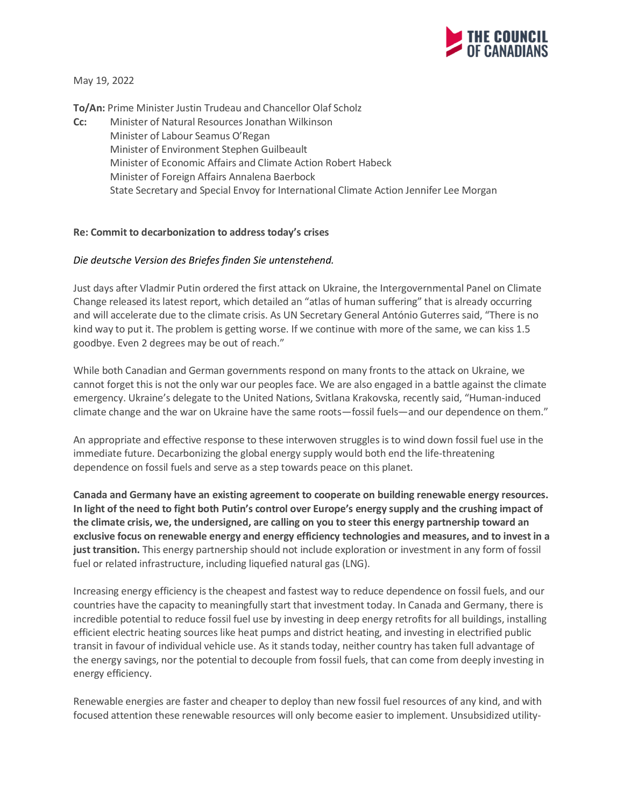

May 19, 2022

**To/An:** Prime Minister Justin Trudeau and Chancellor Olaf Scholz

**Cc:** Minister of Natural Resources Jonathan Wilkinson Minister of Labour Seamus O'Regan Minister of Environment Stephen Guilbeault Minister of Economic Affairs and Climate Action Robert Habeck Minister of Foreign Affairs Annalena Baerbock State Secretary and Special Envoy for International Climate Action Jennifer Lee Morgan

## **Re: Commit to decarbonization to address today's crises**

## *Die deutsche Version des Briefes finden Sie untenstehend.*

Just days after Vladmir Putin ordered the first attack on Ukraine, the Intergovernmental Panel on Climate Change released its latest report, which detailed an "atlas of human suffering" that is already occurring and will accelerate due to the climate crisis. As UN Secretary General António Guterres said, "There is no kind way to put it. The problem is getting worse. If we continue with more of the same, we can kiss 1.5 goodbye. Even 2 degrees may be out of reach."

While both Canadian and German governments respond on many fronts to the attack on Ukraine, we cannot forget this is not the only war our peoples face. We are also engaged in a battle against the climate emergency. Ukraine's delegate to the United Nations, Svitlana Krakovska, recently said, "Human-induced climate change and the war on Ukraine have the same roots—fossil fuels—and our dependence on them."

An appropriate and effective response to these interwoven struggles is to wind down fossil fuel use in the immediate future. Decarbonizing the global energy supply would both end the life-threatening dependence on fossil fuels and serve as a step towards peace on this planet.

**Canada and Germany have an existing agreement to cooperate on building renewable energy resources. In light of the need to fight both Putin's control over Europe's energy supply and the crushing impact of the climate crisis, we, the undersigned, are calling on you to steer this energy partnership toward an exclusive focus on renewable energy and energy efficiency technologies and measures, and to invest in a just transition.** This energy partnership should not include exploration or investment in any form of fossil fuel or related infrastructure, including liquefied natural gas (LNG).

Increasing energy efficiency is the cheapest and fastest way to reduce dependence on fossil fuels, and our countries have the capacity to meaningfully start that investment today. In Canada and Germany, there is incredible potential to reduce fossil fuel use by investing in deep energy retrofits for all buildings, installing efficient electric heating sources like heat pumps and district heating, and investing in electrified public transit in favour of individual vehicle use. As it stands today, neither country has taken full advantage of the energy savings, nor the potential to decouple from fossil fuels, that can come from deeply investing in energy efficiency.

Renewable energies are faster and cheaper to deploy than new fossil fuel resources of any kind, and with focused attention these renewable resources will only become easier to implement. Unsubsidized utility-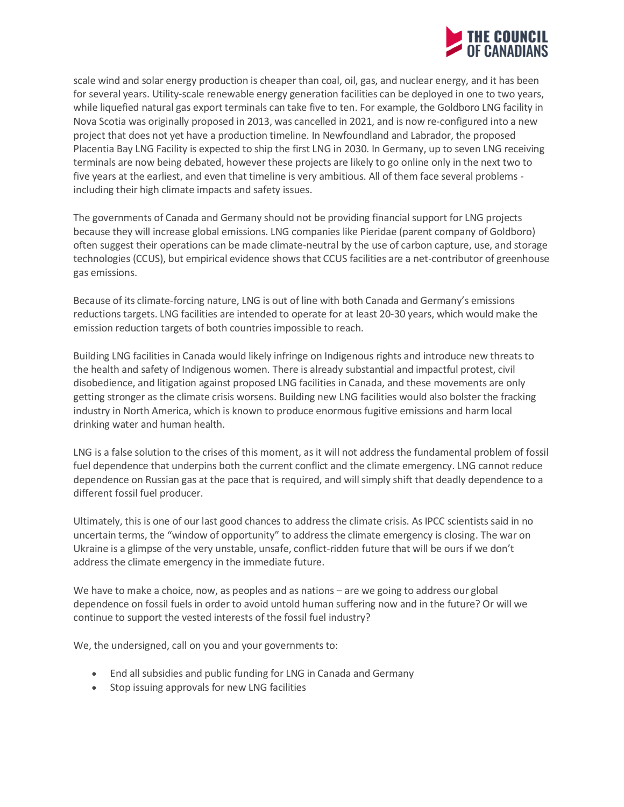

scale wind and solar energy production is cheaper than coal, oil, gas, and nuclear energy, and it has been for several years. Utility-scale renewable energy generation facilities can be deployed in one to two years, while liquefied natural gas export terminals can take five to ten. For example, the Goldboro LNG facility in Nova Scotia was originally proposed in 2013, was cancelled in 2021, and is now re-configured into a new project that does not yet have a production timeline. In Newfoundland and Labrador, the proposed Placentia Bay LNG Facility is expected to ship the first LNG in 2030. In Germany, up to seven LNG receiving terminals are now being debated, however these projects are likely to go online only in the next two to five years at the earliest, and even that timeline is very ambitious. All of them face several problems including their high climate impacts and safety issues.

The governments of Canada and Germany should not be providing financial support for LNG projects because they will increase global emissions. LNG companies like Pieridae (parent company of Goldboro) often suggest their operations can be made climate-neutral by the use of carbon capture, use, and storage technologies (CCUS), but empirical evidence shows that CCUS facilities are a net-contributor of greenhouse gas emissions.

Because of its climate-forcing nature, LNG is out of line with both Canada and Germany's emissions reductions targets. LNG facilities are intended to operate for at least 20-30 years, which would make the emission reduction targets of both countries impossible to reach.

Building LNG facilities in Canada would likely infringe on Indigenous rights and introduce new threats to the health and safety of Indigenous women. There is already substantial and impactful protest, civil disobedience, and litigation against proposed LNG facilities in Canada, and these movements are only getting stronger as the climate crisis worsens. Building new LNG facilities would also bolster the fracking industry in North America, which is known to produce enormous fugitive emissions and harm local drinking water and human health.

LNG is a false solution to the crises of this moment, as it will not address the fundamental problem of fossil fuel dependence that underpins both the current conflict and the climate emergency. LNG cannot reduce dependence on Russian gas at the pace that is required, and will simply shift that deadly dependence to a different fossil fuel producer.

Ultimately, this is one of our last good chances to address the climate crisis. As IPCC scientists said in no uncertain terms, the "window of opportunity" to address the climate emergency is closing. The war on Ukraine is a glimpse of the very unstable, unsafe, conflict-ridden future that will be ours if we don't address the climate emergency in the immediate future.

We have to make a choice, now, as peoples and as nations – are we going to address our global dependence on fossil fuels in order to avoid untold human suffering now and in the future? Or will we continue to support the vested interests of the fossil fuel industry?

We, the undersigned, call on you and your governments to:

- End all subsidies and public funding for LNG in Canada and Germany
- Stop issuing approvals for new LNG facilities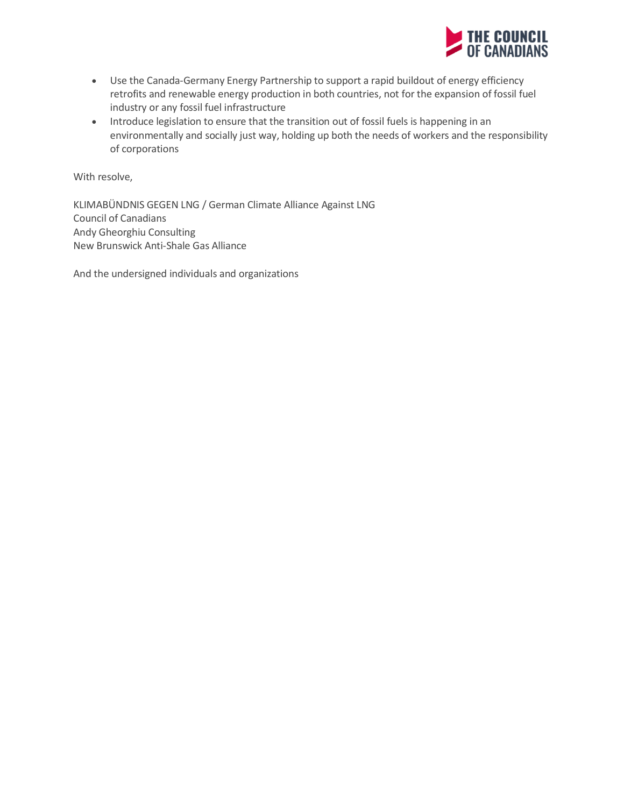

- Use the Canada-Germany Energy Partnership to support a rapid buildout of energy efficiency retrofits and renewable energy production in both countries, not for the expansion of fossil fuel industry or any fossil fuel infrastructure
- Introduce legislation to ensure that the transition out of fossil fuels is happening in an environmentally and socially just way, holding up both the needs of workers and the responsibility of corporations

With resolve,

KLIMABÜNDNIS GEGEN LNG / German Climate Alliance Against LNG Council of Canadians Andy Gheorghiu Consulting New Brunswick Anti-Shale Gas Alliance

And the undersigned individuals and organizations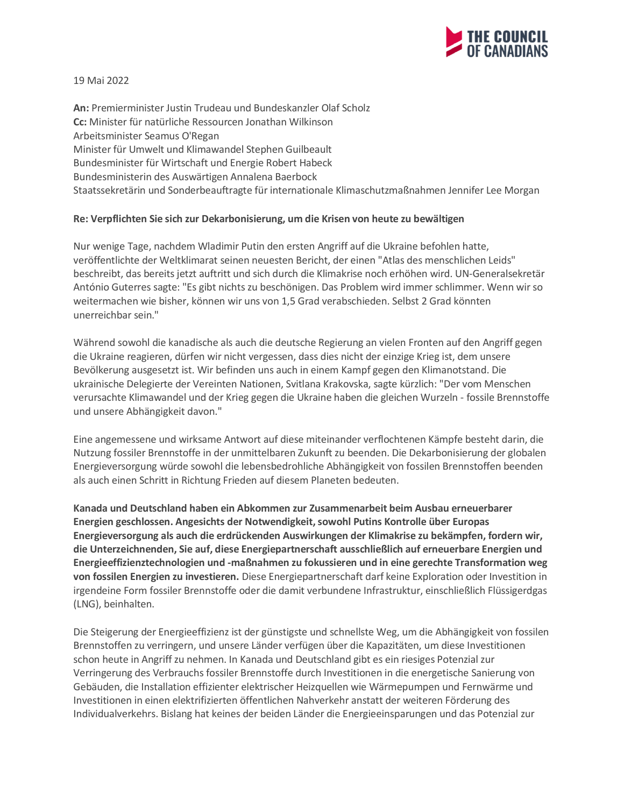

19 Mai 2022

**An:** Premierminister Justin Trudeau und Bundeskanzler Olaf Scholz **Cc:** Minister für natürliche Ressourcen Jonathan Wilkinson Arbeitsminister Seamus O'Regan Minister für Umwelt und Klimawandel Stephen Guilbeault Bundesminister für Wirtschaft und Energie Robert Habeck Bundesministerin des Auswärtigen Annalena Baerbock Staatssekretärin und Sonderbeauftragte für internationale Klimaschutzmaßnahmen Jennifer Lee Morgan

## **Re: Verpflichten Sie sich zur Dekarbonisierung, um die Krisen von heute zu bewältigen**

Nur wenige Tage, nachdem Wladimir Putin den ersten Angriff auf die Ukraine befohlen hatte, veröffentlichte der Weltklimarat seinen neuesten Bericht, der einen "Atlas des menschlichen Leids" beschreibt, das bereits jetzt auftritt und sich durch die Klimakrise noch erhöhen wird. UN-Generalsekretär António Guterres sagte: "Es gibt nichts zu beschönigen. Das Problem wird immer schlimmer. Wenn wir so weitermachen wie bisher, können wir uns von 1,5 Grad verabschieden. Selbst 2 Grad könnten unerreichbar sein."

Während sowohl die kanadische als auch die deutsche Regierung an vielen Fronten auf den Angriff gegen die Ukraine reagieren, dürfen wir nicht vergessen, dass dies nicht der einzige Krieg ist, dem unsere Bevölkerung ausgesetzt ist. Wir befinden uns auch in einem Kampf gegen den Klimanotstand. Die ukrainische Delegierte der Vereinten Nationen, Svitlana Krakovska, sagte kürzlich: "Der vom Menschen verursachte Klimawandel und der Krieg gegen die Ukraine haben die gleichen Wurzeln - fossile Brennstoffe und unsere Abhängigkeit davon."

Eine angemessene und wirksame Antwort auf diese miteinander verflochtenen Kämpfe besteht darin, die Nutzung fossiler Brennstoffe in der unmittelbaren Zukunft zu beenden. Die Dekarbonisierung der globalen Energieversorgung würde sowohl die lebensbedrohliche Abhängigkeit von fossilen Brennstoffen beenden als auch einen Schritt in Richtung Frieden auf diesem Planeten bedeuten.

**Kanada und Deutschland haben ein Abkommen zur Zusammenarbeit beim Ausbau erneuerbarer Energien geschlossen. Angesichts der Notwendigkeit, sowohl Putins Kontrolle über Europas Energieversorgung als auch die erdrückenden Auswirkungen der Klimakrise zu bekämpfen, fordern wir, die Unterzeichnenden, Sie auf, diese Energiepartnerschaft ausschließlich auf erneuerbare Energien und Energieeffizienztechnologien und -maßnahmen zu fokussieren und in eine gerechte Transformation weg von fossilen Energien zu investieren.** Diese Energiepartnerschaft darf keine Exploration oder Investition in irgendeine Form fossiler Brennstoffe oder die damit verbundene Infrastruktur, einschließlich Flüssigerdgas (LNG), beinhalten.

Die Steigerung der Energieeffizienz ist der günstigste und schnellste Weg, um die Abhängigkeit von fossilen Brennstoffen zu verringern, und unsere Länder verfügen über die Kapazitäten, um diese Investitionen schon heute in Angriff zu nehmen. In Kanada und Deutschland gibt es ein riesiges Potenzial zur Verringerung des Verbrauchs fossiler Brennstoffe durch Investitionen in die energetische Sanierung von Gebäuden, die Installation effizienter elektrischer Heizquellen wie Wärmepumpen und Fernwärme und Investitionen in einen elektrifizierten öffentlichen Nahverkehr anstatt der weiteren Förderung des Individualverkehrs. Bislang hat keines der beiden Länder die Energieeinsparungen und das Potenzial zur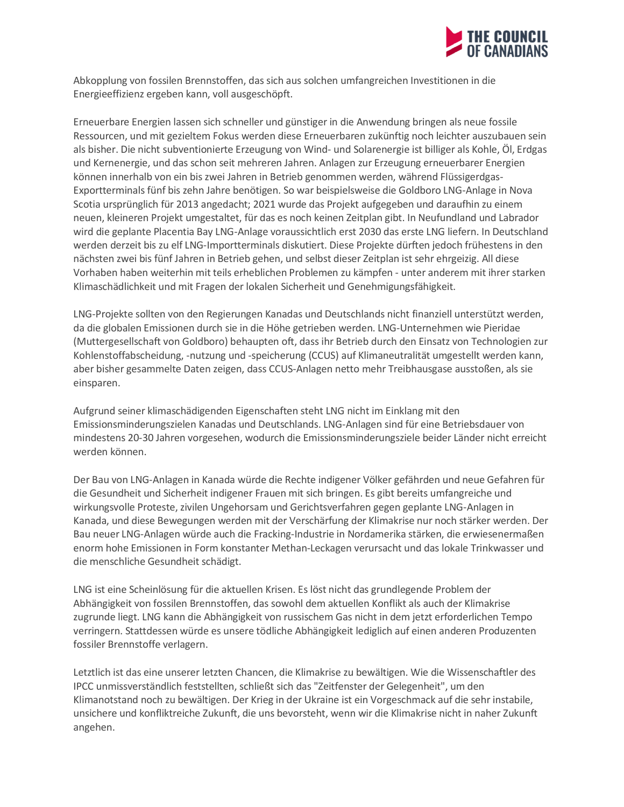

Abkopplung von fossilen Brennstoffen, das sich aus solchen umfangreichen Investitionen in die Energieeffizienz ergeben kann, voll ausgeschöpft.

Erneuerbare Energien lassen sich schneller und günstiger in die Anwendung bringen als neue fossile Ressourcen, und mit gezieltem Fokus werden diese Erneuerbaren zukünftig noch leichter auszubauen sein als bisher. Die nicht subventionierte Erzeugung von Wind- und Solarenergie ist billiger als Kohle, Öl, Erdgas und Kernenergie, und das schon seit mehreren Jahren. Anlagen zur Erzeugung erneuerbarer Energien können innerhalb von ein bis zwei Jahren in Betrieb genommen werden, während Flüssigerdgas-Exportterminals fünf bis zehn Jahre benötigen. So war beispielsweise die Goldboro LNG-Anlage in Nova Scotia ursprünglich für 2013 angedacht; 2021 wurde das Projekt aufgegeben und daraufhin zu einem neuen, kleineren Projekt umgestaltet, für das es noch keinen Zeitplan gibt. In Neufundland und Labrador wird die geplante Placentia Bay LNG-Anlage voraussichtlich erst 2030 das erste LNG liefern. In Deutschland werden derzeit bis zu elf LNG-Importterminals diskutiert. Diese Projekte dürften jedoch frühestens in den nächsten zwei bis fünf Jahren in Betrieb gehen, und selbst dieser Zeitplan ist sehr ehrgeizig. All diese Vorhaben haben weiterhin mit teils erheblichen Problemen zu kämpfen - unter anderem mit ihrer starken Klimaschädlichkeit und mit Fragen der lokalen Sicherheit und Genehmigungsfähigkeit.

LNG-Projekte sollten von den Regierungen Kanadas und Deutschlands nicht finanziell unterstützt werden, da die globalen Emissionen durch sie in die Höhe getrieben werden. LNG-Unternehmen wie Pieridae (Muttergesellschaft von Goldboro) behaupten oft, dass ihr Betrieb durch den Einsatz von Technologien zur Kohlenstoffabscheidung, -nutzung und -speicherung (CCUS) auf Klimaneutralität umgestellt werden kann, aber bisher gesammelte Daten zeigen, dass CCUS-Anlagen netto mehr Treibhausgase ausstoßen, als sie einsparen.

Aufgrund seiner klimaschädigenden Eigenschaften steht LNG nicht im Einklang mit den Emissionsminderungszielen Kanadas und Deutschlands. LNG-Anlagen sind für eine Betriebsdauer von mindestens 20-30 Jahren vorgesehen, wodurch die Emissionsminderungsziele beider Länder nicht erreicht werden können.

Der Bau von LNG-Anlagen in Kanada würde die Rechte indigener Völker gefährden und neue Gefahren für die Gesundheit und Sicherheit indigener Frauen mit sich bringen. Es gibt bereits umfangreiche und wirkungsvolle Proteste, zivilen Ungehorsam und Gerichtsverfahren gegen geplante LNG-Anlagen in Kanada, und diese Bewegungen werden mit der Verschärfung der Klimakrise nur noch stärker werden. Der Bau neuer LNG-Anlagen würde auch die Fracking-Industrie in Nordamerika stärken, die erwiesenermaßen enorm hohe Emissionen in Form konstanter Methan-Leckagen verursacht und das lokale Trinkwasser und die menschliche Gesundheit schädigt.

LNG ist eine Scheinlösung für die aktuellen Krisen. Es löst nicht das grundlegende Problem der Abhängigkeit von fossilen Brennstoffen, das sowohl dem aktuellen Konflikt als auch der Klimakrise zugrunde liegt. LNG kann die Abhängigkeit von russischem Gas nicht in dem jetzt erforderlichen Tempo verringern. Stattdessen würde es unsere tödliche Abhängigkeit lediglich auf einen anderen Produzenten fossiler Brennstoffe verlagern.

Letztlich ist das eine unserer letzten Chancen, die Klimakrise zu bewältigen. Wie die Wissenschaftler des IPCC unmissverständlich feststellten, schließt sich das "Zeitfenster der Gelegenheit", um den Klimanotstand noch zu bewältigen. Der Krieg in der Ukraine ist ein Vorgeschmack auf die sehr instabile, unsichere und konfliktreiche Zukunft, die uns bevorsteht, wenn wir die Klimakrise nicht in naher Zukunft angehen.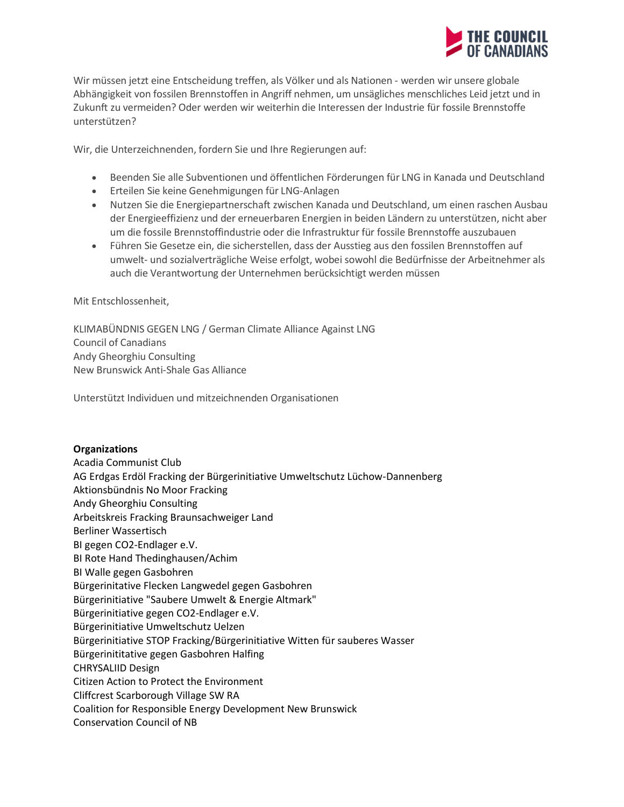

Wir müssen jetzt eine Entscheidung treffen, als Völker und als Nationen - werden wir unsere globale Abhängigkeit von fossilen Brennstoffen in Angriff nehmen, um unsägliches menschliches Leid jetzt und in Zukunft zu vermeiden? Oder werden wir weiterhin die Interessen der Industrie für fossile Brennstoffe unterstützen?

Wir, die Unterzeichnenden, fordern Sie und Ihre Regierungen auf:

- Beenden Sie alle Subventionen und öffentlichen Förderungen für LNG in Kanada und Deutschland
- Erteilen Sie keine Genehmigungen für LNG-Anlagen
- Nutzen Sie die Energiepartnerschaft zwischen Kanada und Deutschland, um einen raschen Ausbau der Energieeffizienz und der erneuerbaren Energien in beiden Ländern zu unterstützen, nicht aber um die fossile Brennstoffindustrie oder die Infrastruktur für fossile Brennstoffe auszubauen
- Führen Sie Gesetze ein, die sicherstellen, dass der Ausstieg aus den fossilen Brennstoffen auf umwelt- und sozialverträgliche Weise erfolgt, wobei sowohl die Bedürfnisse der Arbeitnehmer als auch die Verantwortung der Unternehmen berücksichtigt werden müssen

Mit Entschlossenheit,

KLIMABÜNDNIS GEGEN LNG / German Climate Alliance Against LNG Council of Canadians Andy Gheorghiu Consulting New Brunswick Anti-Shale Gas Alliance

Unterstützt Individuen und mitzeichnenden Organisationen

## **Organizations**

Acadia Communist Club AG Erdgas Erdöl Fracking der Bürgerinitiative Umweltschutz Lüchow-Dannenberg Aktionsbündnis No Moor Fracking Andy Gheorghiu Consulting Arbeitskreis Fracking Braunsachweiger Land Berliner Wassertisch BI gegen CO2-Endlager e.V. BI Rote Hand Thedinghausen/Achim BI Walle gegen Gasbohren Bürgerinitative Flecken Langwedel gegen Gasbohren Bürgerinitiative "Saubere Umwelt & Energie Altmark" Bürgerinitiative gegen CO2-Endlager e.V. Bürgerinitiative Umweltschutz Uelzen Bürgerinitiative STOP Fracking/Bürgerinitiative Witten für sauberes Wasser Bürgerinititative gegen Gasbohren Halfing CHRYSALIID Design Citizen Action to Protect the Environment Cliffcrest Scarborough Village SW RA Coalition for Responsible Energy Development New Brunswick Conservation Council of NB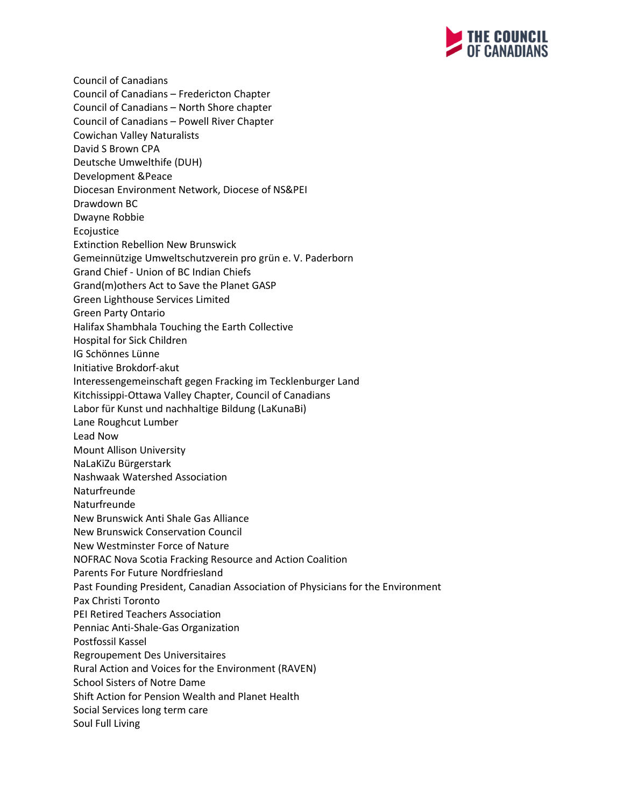

Council of Canadians Council of Canadians – Fredericton Chapter Council of Canadians – North Shore chapter Council of Canadians – Powell River Chapter Cowichan Valley Naturalists David S Brown CPA Deutsche Umwelthife (DUH) Development &Peace Diocesan Environment Network, Diocese of NS&PEI Drawdown BC Dwayne Robbie Ecojustice Extinction Rebellion New Brunswick Gemeinnützige Umweltschutzverein pro grün e. V. Paderborn Grand Chief - Union of BC Indian Chiefs Grand(m)others Act to Save the Planet GASP Green Lighthouse Services Limited Green Party Ontario Halifax Shambhala Touching the Earth Collective Hospital for Sick Children IG Schönnes Lünne Initiative Brokdorf-akut Interessengemeinschaft gegen Fracking im Tecklenburger Land Kitchissippi-Ottawa Valley Chapter, Council of Canadians Labor für Kunst und nachhaltige Bildung (LaKunaBi) Lane Roughcut Lumber Lead Now Mount Allison University NaLaKiZu Bürgerstark Nashwaak Watershed Association Naturfreunde Naturfreunde New Brunswick Anti Shale Gas Alliance New Brunswick Conservation Council New Westminster Force of Nature NOFRAC Nova Scotia Fracking Resource and Action Coalition Parents For Future Nordfriesland Past Founding President, Canadian Association of Physicians for the Environment Pax Christi Toronto PEI Retired Teachers Association Penniac Anti-Shale-Gas Organization Postfossil Kassel Regroupement Des Universitaires Rural Action and Voices for the Environment (RAVEN) School Sisters of Notre Dame Shift Action for Pension Wealth and Planet Health Social Services long term care Soul Full Living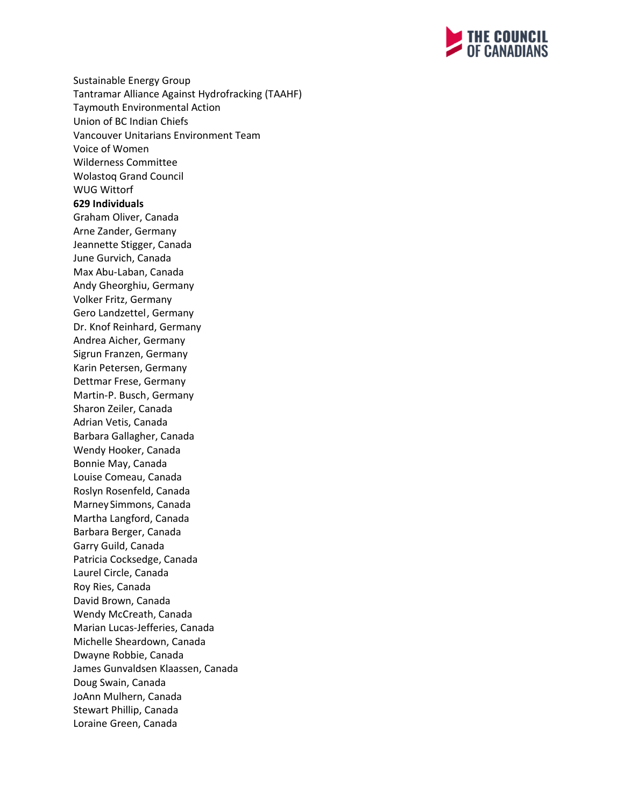

Sustainable Energy Group Tantramar Alliance Against Hydrofracking (TAAHF) Taymouth Environmental Action Union of BC Indian Chiefs Vancouver Unitarians Environment Team Voice of Women Wilderness Committee Wolastoq Grand Council WUG Wittorf **629 Individuals** Graham Oliver, Canada Arne Zander, Germany Jeannette Stigger, Canada June Gurvich, Canada Max Abu-Laban, Canada Andy Gheorghiu, Germany Volker Fritz, Germany Gero Landzettel, Germany Dr. Knof Reinhard, Germany Andrea Aicher, Germany Sigrun Franzen, Germany Karin Petersen, Germany Dettmar Frese, Germany Martin-P. Busch, Germany Sharon Zeiler, Canada Adrian Vetis, Canada Barbara Gallagher, Canada Wendy Hooker, Canada Bonnie May, Canada Louise Comeau, Canada Roslyn Rosenfeld, Canada Marney Simmons, Canada Martha Langford, Canada Barbara Berger, Canada Garry Guild, Canada Patricia Cocksedge, Canada Laurel Circle, Canada Roy Ries, Canada David Brown, Canada Wendy McCreath, Canada Marian Lucas-Jefferies, Canada Michelle Sheardown, Canada Dwayne Robbie, Canada James Gunvaldsen Klaassen, Canada Doug Swain, Canada JoAnn Mulhern, Canada Stewart Phillip, Canada Loraine Green, Canada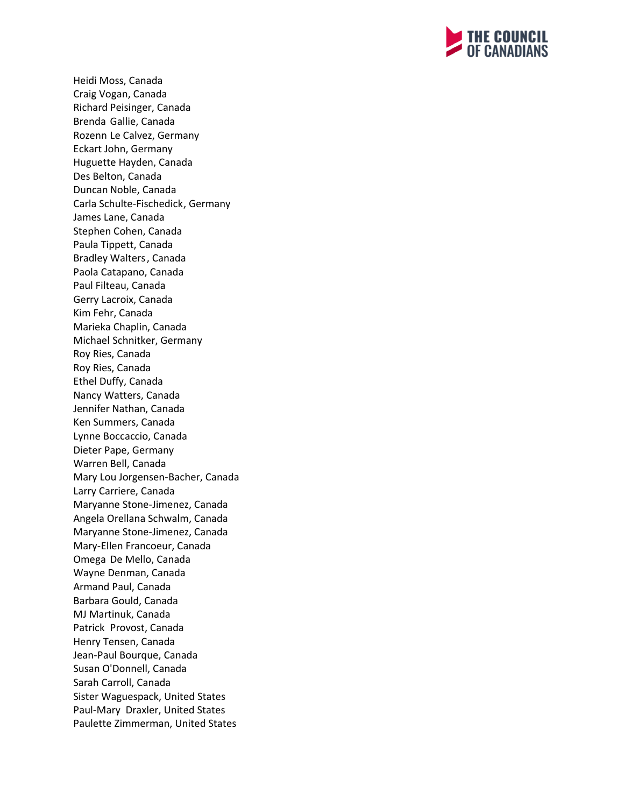

Heidi Moss, Canada Craig Vogan, Canada Richard Peisinger, Canada Brenda Gallie, Canada Rozenn Le Calvez, Germany Eckart John, Germany Huguette Hayden, Canada Des Belton, Canada Duncan Noble, Canada Carla Schulte-Fischedick, Germany James Lane, Canada Stephen Cohen, Canada Paula Tippett, Canada Bradley Walters, Canada Paola Catapano, Canada Paul Filteau, Canada Gerry Lacroix, Canada Kim Fehr, Canada Marieka Chaplin, Canada Michael Schnitker, Germany Roy Ries, Canada Roy Ries, Canada Ethel Duffy, Canada Nancy Watters, Canada Jennifer Nathan, Canada Ken Summers, Canada Lynne Boccaccio, Canada Dieter Pape, Germany Warren Bell, Canada Mary Lou Jorgensen-Bacher, Canada Larry Carriere, Canada Maryanne Stone-Jimenez, Canada Angela Orellana Schwalm, Canada Maryanne Stone-Jimenez, Canada Mary-Ellen Francoeur, Canada Omega De Mello, Canada Wayne Denman, Canada Armand Paul, Canada Barbara Gould, Canada MJ Martinuk, Canada Patrick Provost, Canada Henry Tensen, Canada Jean-Paul Bourque, Canada Susan O'Donnell, Canada Sarah Carroll, Canada Sister Waguespack, United States Paul-Mary Draxler, United States Paulette Zimmerman, United States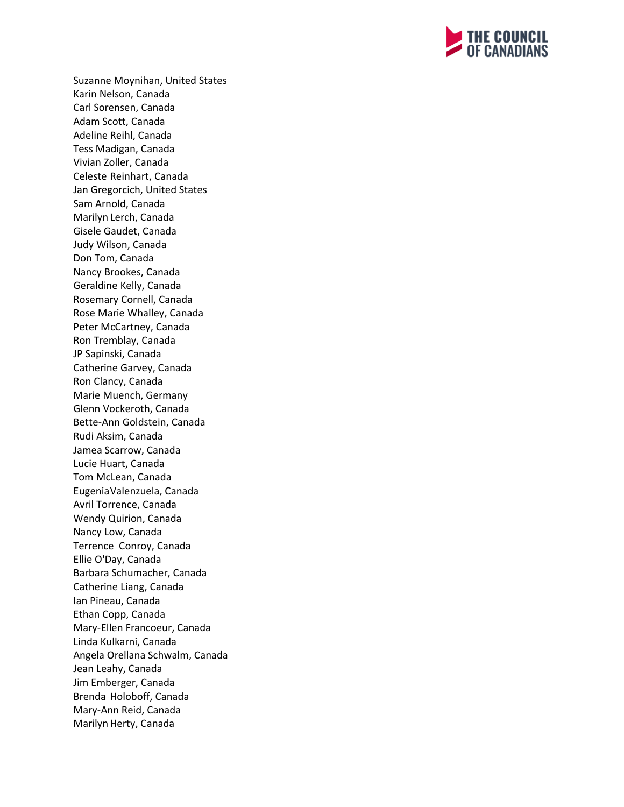

Suzanne Moynihan, United States Karin Nelson, Canada Carl Sorensen, Canada Adam Scott, Canada Adeline Reihl, Canada Tess Madigan, Canada Vivian Zoller, Canada Celeste Reinhart, Canada Jan Gregorcich, United States Sam Arnold, Canada Marilyn Lerch, Canada Gisele Gaudet, Canada Judy Wilson, Canada Don Tom, Canada Nancy Brookes, Canada Geraldine Kelly, Canada Rosemary Cornell, Canada Rose Marie Whalley, Canada Peter McCartney, Canada Ron Tremblay, Canada JP Sapinski, Canada Catherine Garvey, Canada Ron Clancy, Canada Marie Muench, Germany Glenn Vockeroth, Canada Bette-Ann Goldstein, Canada Rudi Aksim, Canada Jamea Scarrow, Canada Lucie Huart, Canada Tom McLean, Canada EugeniaValenzuela, Canada Avril Torrence, Canada Wendy Quirion, Canada Nancy Low, Canada Terrence Conroy, Canada Ellie O'Day, Canada Barbara Schumacher, Canada Catherine Liang, Canada Ian Pineau, Canada Ethan Copp, Canada Mary-Ellen Francoeur, Canada Linda Kulkarni, Canada Angela Orellana Schwalm, Canada Jean Leahy, Canada Jim Emberger, Canada Brenda Holoboff, Canada Mary-Ann Reid, Canada Marilyn Herty, Canada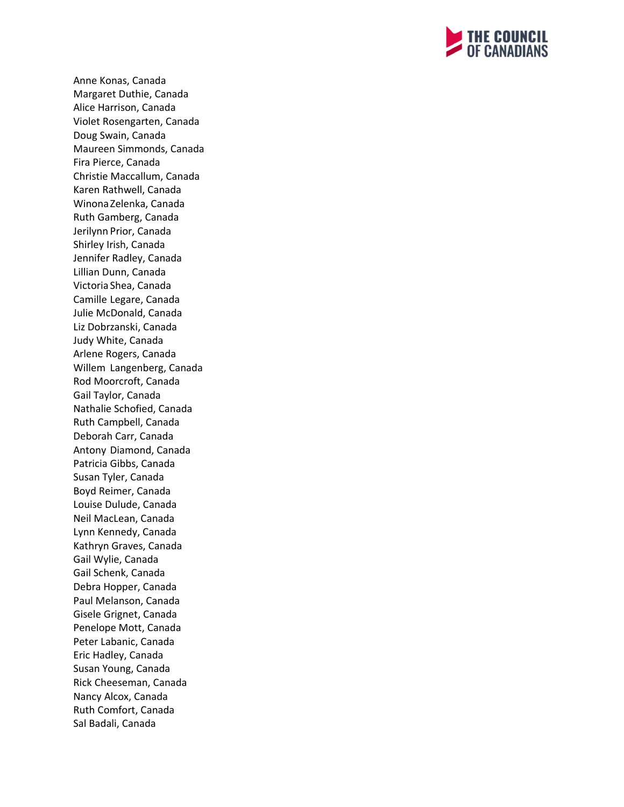

Anne Konas, Canada Margaret Duthie, Canada Alice Harrison, Canada Violet Rosengarten, Canada Doug Swain, Canada Maureen Simmonds, Canada Fira Pierce, Canada Christie Maccallum, Canada Karen Rathwell, Canada WinonaZelenka, Canada Ruth Gamberg, Canada Jerilynn Prior, Canada Shirley Irish, Canada Jennifer Radley, Canada Lillian Dunn, Canada Victoria Shea, Canada Camille Legare, Canada Julie McDonald, Canada Liz Dobrzanski, Canada Judy White, Canada Arlene Rogers, Canada Willem Langenberg, Canada Rod Moorcroft, Canada Gail Taylor, Canada Nathalie Schofied, Canada Ruth Campbell, Canada Deborah Carr, Canada Antony Diamond, Canada Patricia Gibbs, Canada Susan Tyler, Canada Boyd Reimer, Canada Louise Dulude, Canada Neil MacLean, Canada Lynn Kennedy, Canada Kathryn Graves, Canada Gail Wylie, Canada Gail Schenk, Canada Debra Hopper, Canada Paul Melanson, Canada Gisele Grignet, Canada Penelope Mott, Canada Peter Labanic, Canada Eric Hadley, Canada Susan Young, Canada Rick Cheeseman, Canada Nancy Alcox, Canada Ruth Comfort, Canada Sal Badali, Canada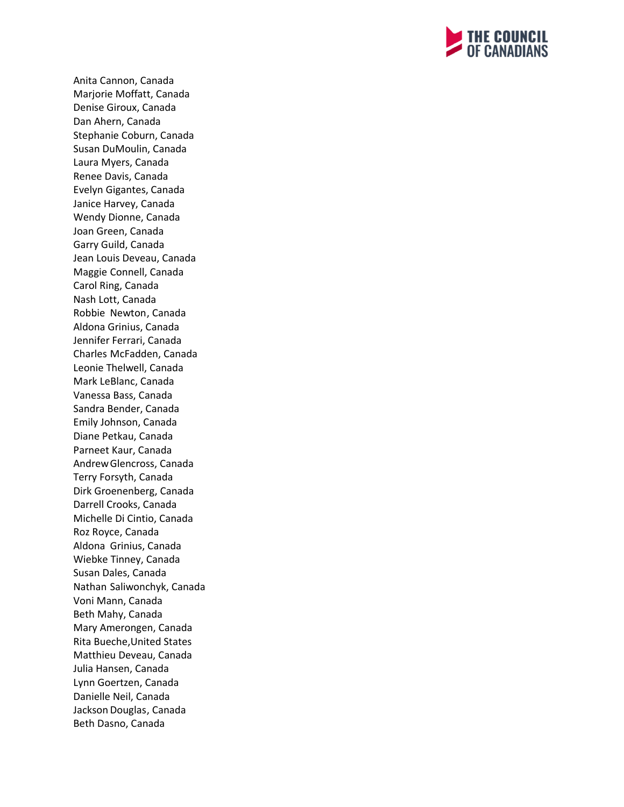

Anita Cannon, Canada Marjorie Moffatt, Canada Denise Giroux, Canada Dan Ahern, Canada Stephanie Coburn, Canada Susan DuMoulin, Canada Laura Myers, Canada Renee Davis, Canada Evelyn Gigantes, Canada Janice Harvey, Canada Wendy Dionne, Canada Joan Green, Canada Garry Guild, Canada Jean Louis Deveau, Canada Maggie Connell, Canada Carol Ring, Canada Nash Lott, Canada Robbie Newton, Canada Aldona Grinius, Canada Jennifer Ferrari, Canada Charles McFadden, Canada Leonie Thelwell, Canada Mark LeBlanc, Canada Vanessa Bass, Canada Sandra Bender, Canada Emily Johnson, Canada Diane Petkau, Canada Parneet Kaur, Canada AndrewGlencross, Canada Terry Forsyth, Canada Dirk Groenenberg, Canada Darrell Crooks, Canada Michelle Di Cintio, Canada Roz Royce, Canada Aldona Grinius, Canada Wiebke Tinney, Canada Susan Dales, Canada Nathan Saliwonchyk, Canada Voni Mann, Canada Beth Mahy, Canada Mary Amerongen, Canada Rita Bueche,United States Matthieu Deveau, Canada Julia Hansen, Canada Lynn Goertzen, Canada Danielle Neil, Canada Jackson Douglas, Canada Beth Dasno, Canada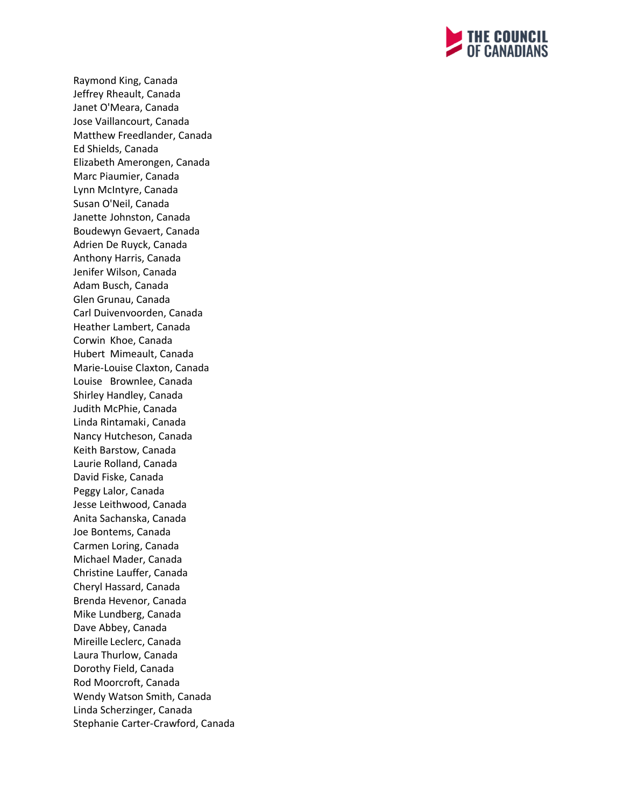

Raymond King, Canada Jeffrey Rheault, Canada Janet O'Meara, Canada Jose Vaillancourt, Canada Matthew Freedlander, Canada Ed Shields, Canada Elizabeth Amerongen, Canada Marc Piaumier, Canada Lynn McIntyre, Canada Susan O'Neil, Canada Janette Johnston, Canada Boudewyn Gevaert, Canada Adrien De Ruyck, Canada Anthony Harris, Canada Jenifer Wilson, Canada Adam Busch, Canada Glen Grunau, Canada Carl Duivenvoorden, Canada Heather Lambert, Canada Corwin Khoe, Canada Hubert Mimeault, Canada Marie-Louise Claxton, Canada Louise Brownlee, Canada Shirley Handley, Canada Judith McPhie, Canada Linda Rintamaki, Canada Nancy Hutcheson, Canada Keith Barstow, Canada Laurie Rolland, Canada David Fiske, Canada Peggy Lalor, Canada Jesse Leithwood, Canada Anita Sachanska, Canada Joe Bontems, Canada Carmen Loring, Canada Michael Mader, Canada Christine Lauffer, Canada Cheryl Hassard, Canada Brenda Hevenor, Canada Mike Lundberg, Canada Dave Abbey, Canada Mireille Leclerc, Canada Laura Thurlow, Canada Dorothy Field, Canada Rod Moorcroft, Canada Wendy Watson Smith, Canada Linda Scherzinger, Canada Stephanie Carter-Crawford, Canada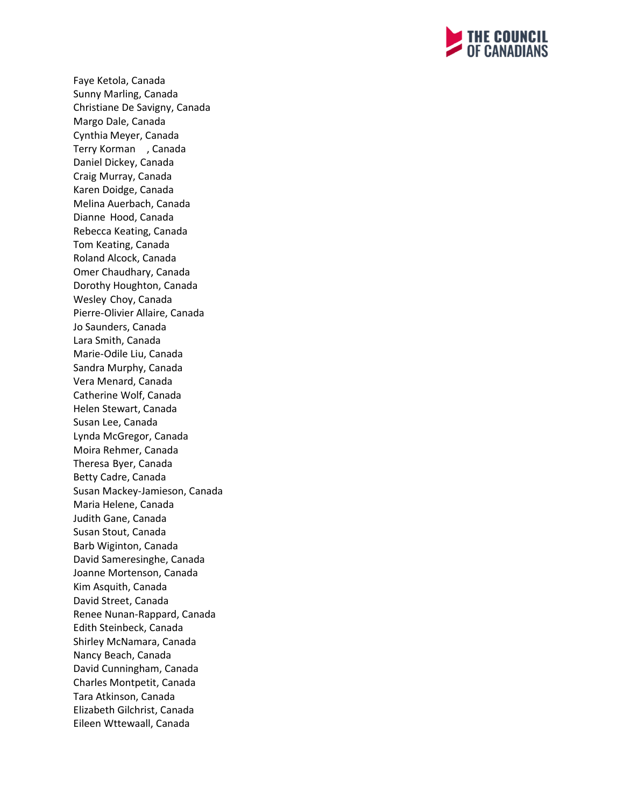

Faye Ketola, Canada Sunny Marling, Canada Christiane De Savigny, Canada Margo Dale, Canada Cynthia Meyer, Canada Terry Korman , Canada Daniel Dickey, Canada Craig Murray, Canada Karen Doidge, Canada Melina Auerbach, Canada Dianne Hood, Canada Rebecca Keating, Canada Tom Keating, Canada Roland Alcock, Canada Omer Chaudhary, Canada Dorothy Houghton, Canada Wesley Choy, Canada Pierre-Olivier Allaire, Canada Jo Saunders, Canada Lara Smith, Canada Marie-Odile Liu, Canada Sandra Murphy, Canada Vera Menard, Canada Catherine Wolf, Canada Helen Stewart, Canada Susan Lee, Canada Lynda McGregor, Canada Moira Rehmer, Canada Theresa Byer, Canada Betty Cadre, Canada Susan Mackey-Jamieson, Canada Maria Helene, Canada Judith Gane, Canada Susan Stout, Canada Barb Wiginton, Canada David Sameresinghe, Canada Joanne Mortenson, Canada Kim Asquith, Canada David Street, Canada Renee Nunan-Rappard, Canada Edith Steinbeck, Canada Shirley McNamara, Canada Nancy Beach, Canada David Cunningham, Canada Charles Montpetit, Canada Tara Atkinson, Canada Elizabeth Gilchrist, Canada Eileen Wttewaall, Canada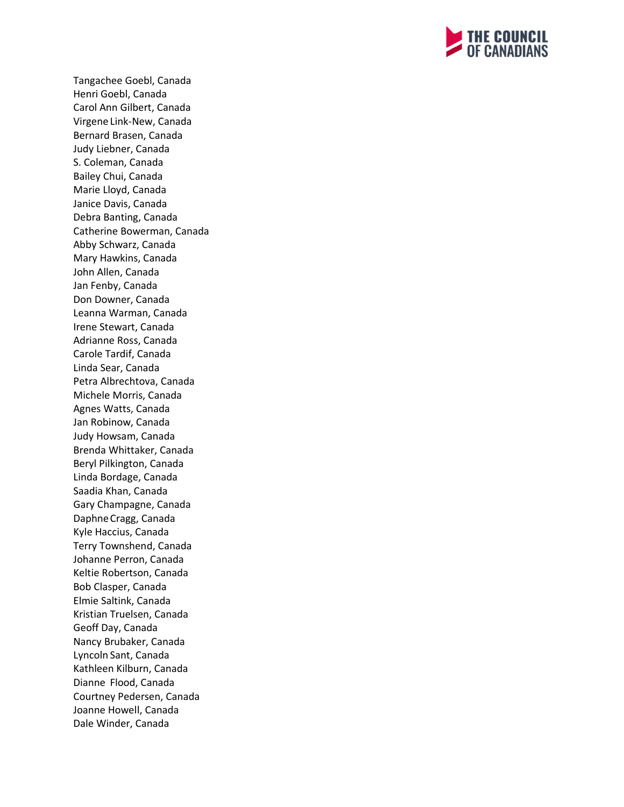

Tangachee Goebl, Canada Henri Goebl, Canada Carol Ann Gilbert, Canada Virgene Link-New, Canada Bernard Brasen, Canada Judy Liebner, Canada S. Coleman, Canada Bailey Chui, Canada Marie Lloyd, Canada Janice Davis, Canada Debra Banting, Canada Catherine Bowerman, Canada Abby Schwarz, Canada Mary Hawkins, Canada John Allen, Canada Jan Fenby, Canada Don Downer, Canada Leanna Warman, Canada Irene Stewart, Canada Adrianne Ross, Canada Carole Tardif, Canada Linda Sear, Canada Petra Albrechtova, Canada Michele Morris, Canada Agnes Watts, Canada Jan Robinow, Canada Judy Howsam, Canada Brenda Whittaker, Canada Beryl Pilkington, Canada Linda Bordage, Canada Saadia Khan, Canada Gary Champagne, Canada DaphneCragg, Canada Kyle Haccius, Canada Terry Townshend, Canada Johanne Perron, Canada Keltie Robertson, Canada Bob Clasper, Canada Elmie Saltink, Canada Kristian Truelsen, Canada Geoff Day, Canada Nancy Brubaker, Canada Lyncoln Sant, Canada Kathleen Kilburn, Canada Dianne Flood, Canada Courtney Pedersen, Canada Joanne Howell, Canada Dale Winder, Canada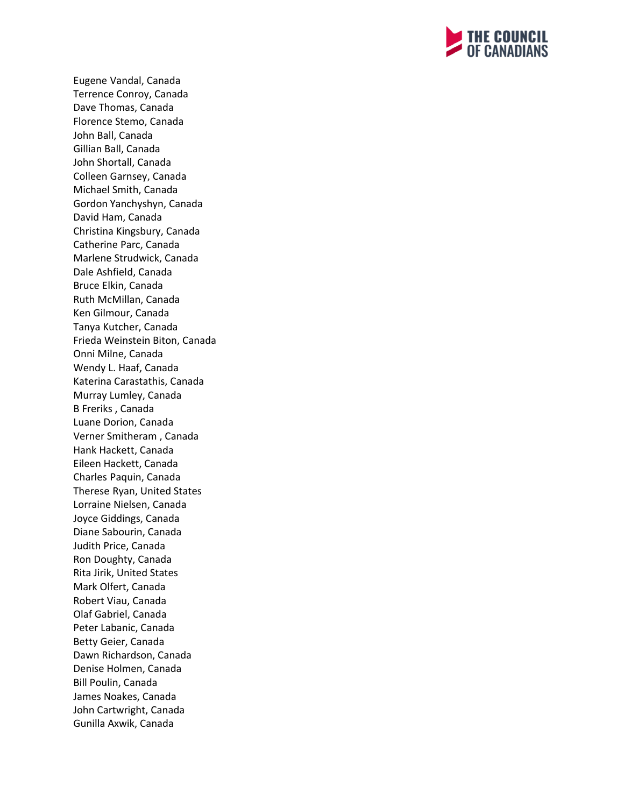

Eugene Vandal, Canada Terrence Conroy, Canada Dave Thomas, Canada Florence Stemo, Canada John Ball, Canada Gillian Ball, Canada John Shortall, Canada Colleen Garnsey, Canada Michael Smith, Canada Gordon Yanchyshyn, Canada David Ham, Canada Christina Kingsbury, Canada Catherine Parc, Canada Marlene Strudwick, Canada Dale Ashfield, Canada Bruce Elkin, Canada Ruth McMillan, Canada Ken Gilmour, Canada Tanya Kutcher, Canada Frieda Weinstein Biton, Canada Onni Milne, Canada Wendy L. Haaf, Canada Katerina Carastathis, Canada Murray Lumley, Canada B Freriks , Canada Luane Dorion, Canada Verner Smitheram , Canada Hank Hackett, Canada Eileen Hackett, Canada Charles Paquin, Canada Therese Ryan, United States Lorraine Nielsen, Canada Joyce Giddings, Canada Diane Sabourin, Canada Judith Price, Canada Ron Doughty, Canada Rita Jirik, United States Mark Olfert, Canada Robert Viau, Canada Olaf Gabriel, Canada Peter Labanic, Canada Betty Geier, Canada Dawn Richardson, Canada Denise Holmen, Canada Bill Poulin, Canada James Noakes, Canada John Cartwright, Canada Gunilla Axwik, Canada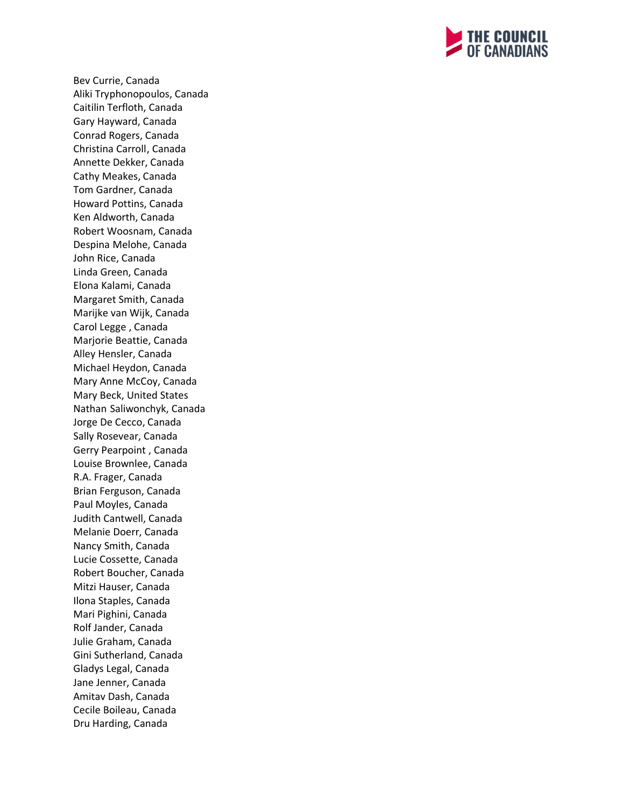

Bev Currie, Canada Aliki Tryphonopoulos, Canada Caitilin Terfloth, Canada Gary Hayward, Canada Conrad Rogers, Canada Christina Carroll, Canada Annette Dekker, Canada Cathy Meakes, Canada Tom Gardner, Canada Howard Pottins, Canada Ken Aldworth, Canada Robert Woosnam, Canada Despina Melohe, Canada John Rice, Canada Linda Green, Canada Elona Kalami, Canada Margaret Smith, Canada Marijke van Wijk, Canada Carol Legge , Canada Marjorie Beattie, Canada Alley Hensler, Canada Michael Heydon, Canada Mary Anne McCoy, Canada Mary Beck, United States Nathan Saliwonchyk, Canada Jorge De Cecco, Canada Sally Rosevear, Canada Gerry Pearpoint , Canada Louise Brownlee, Canada R.A. Frager, Canada Brian Ferguson, Canada Paul Moyles, Canada Judith Cantwell, Canada Melanie Doerr, Canada Nancy Smith, Canada Lucie Cossette, Canada Robert Boucher, Canada Mitzi Hauser, Canada Ilona Staples, Canada Mari Pighini, Canada Rolf Jander, Canada Julie Graham, Canada Gini Sutherland, Canada Gladys Legal, Canada Jane Jenner, Canada Amitav Dash, Canada Cecile Boileau, Canada Dru Harding, Canada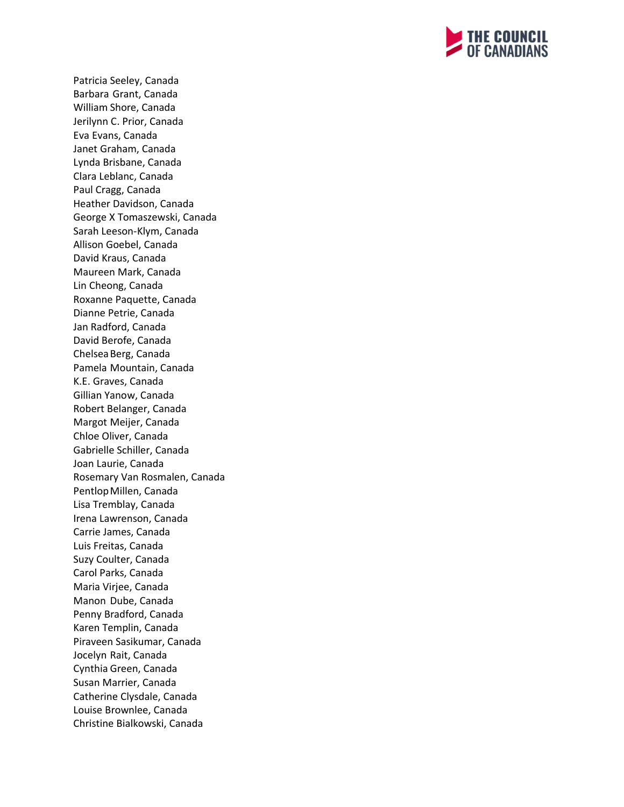

Patricia Seeley, Canada Barbara Grant, Canada William Shore, Canada Jerilynn C. Prior, Canada Eva Evans, Canada Janet Graham, Canada Lynda Brisbane, Canada Clara Leblanc, Canada Paul Cragg, Canada Heather Davidson, Canada George X Tomaszewski, Canada Sarah Leeson-Klym, Canada Allison Goebel, Canada David Kraus, Canada Maureen Mark, Canada Lin Cheong, Canada Roxanne Paquette, Canada Dianne Petrie, Canada Jan Radford, Canada David Berofe, Canada ChelseaBerg, Canada Pamela Mountain, Canada K.E. Graves, Canada Gillian Yanow, Canada Robert Belanger, Canada Margot Meijer, Canada Chloe Oliver, Canada Gabrielle Schiller, Canada Joan Laurie, Canada Rosemary Van Rosmalen, Canada Pentlop Millen, Canada Lisa Tremblay, Canada Irena Lawrenson, Canada Carrie James, Canada Luis Freitas, Canada Suzy Coulter, Canada Carol Parks, Canada Maria Virjee, Canada Manon Dube, Canada Penny Bradford, Canada Karen Templin, Canada Piraveen Sasikumar, Canada Jocelyn Rait, Canada Cynthia Green, Canada Susan Marrier, Canada Catherine Clysdale, Canada Louise Brownlee, Canada Christine Bialkowski, Canada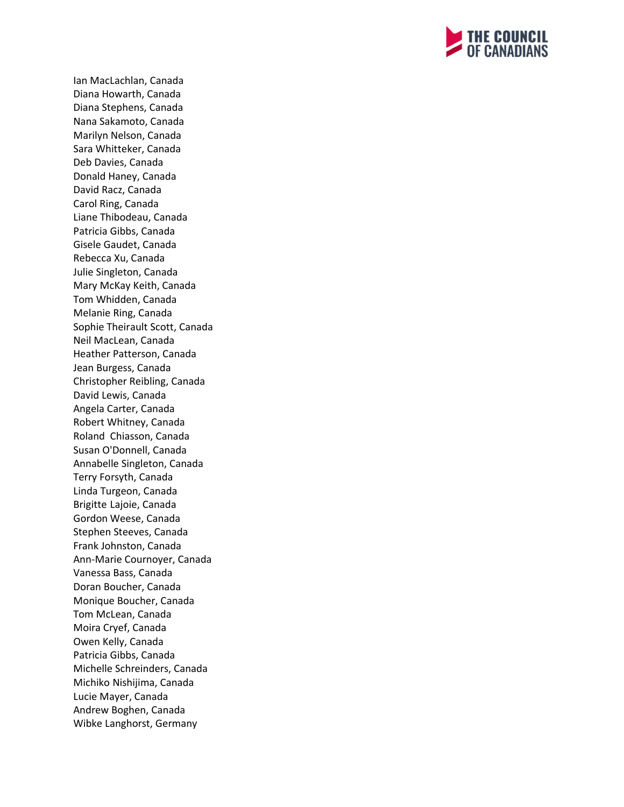

Ian MacLachlan, Canada Diana Howarth, Canada Diana Stephens, Canada Nana Sakamoto, Canada Marilyn Nelson, Canada Sara Whitteker, Canada Deb Davies, Canada Donald Haney, Canada David Racz, Canada Carol Ring, Canada Liane Thibodeau, Canada Patricia Gibbs, Canada Gisele Gaudet, Canada Rebecca Xu, Canada Julie Singleton, Canada Mary McKay Keith, Canada Tom Whidden, Canada Melanie Ring, Canada Sophie Theirault Scott, Canada Neil MacLean, Canada Heather Patterson, Canada Jean Burgess, Canada Christopher Reibling, Canada David Lewis, Canada Angela Carter, Canada Robert Whitney, Canada Roland Chiasson, Canada Susan O'Donnell, Canada Annabelle Singleton, Canada Terry Forsyth, Canada Linda Turgeon, Canada Brigitte Lajoie, Canada Gordon Weese, Canada Stephen Steeves, Canada Frank Johnston, Canada Ann-Marie Cournoyer, Canada Vanessa Bass, Canada Doran Boucher, Canada Monique Boucher, Canada Tom McLean, Canada Moira Cryef, Canada Owen Kelly, Canada Patricia Gibbs, Canada Michelle Schreinders, Canada Michiko Nishijima, Canada Lucie Mayer, Canada Andrew Boghen, Canada Wibke Langhorst, Germany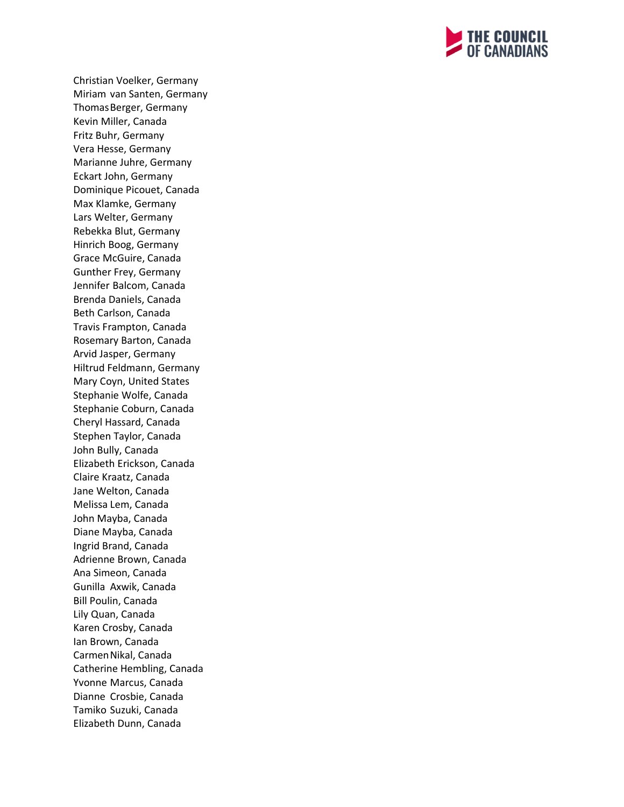

Christian Voelker, Germany Miriam van Santen, Germany ThomasBerger, Germany Kevin Miller, Canada Fritz Buhr, Germany Vera Hesse, Germany Marianne Juhre, Germany Eckart John, Germany Dominique Picouet, Canada Max Klamke, Germany Lars Welter, Germany Rebekka Blut, Germany Hinrich Boog, Germany Grace McGuire, Canada Gunther Frey, Germany Jennifer Balcom, Canada Brenda Daniels, Canada Beth Carlson, Canada Travis Frampton, Canada Rosemary Barton, Canada Arvid Jasper, Germany Hiltrud Feldmann, Germany Mary Coyn, United States Stephanie Wolfe, Canada Stephanie Coburn, Canada Cheryl Hassard, Canada Stephen Taylor, Canada John Bully, Canada Elizabeth Erickson, Canada Claire Kraatz, Canada Jane Welton, Canada Melissa Lem, Canada John Mayba, Canada Diane Mayba, Canada Ingrid Brand, Canada Adrienne Brown, Canada Ana Simeon, Canada Gunilla Axwik, Canada Bill Poulin, Canada Lily Quan, Canada Karen Crosby, Canada Ian Brown, Canada CarmenNikal, Canada Catherine Hembling, Canada Yvonne Marcus, Canada Dianne Crosbie, Canada Tamiko Suzuki, Canada Elizabeth Dunn, Canada